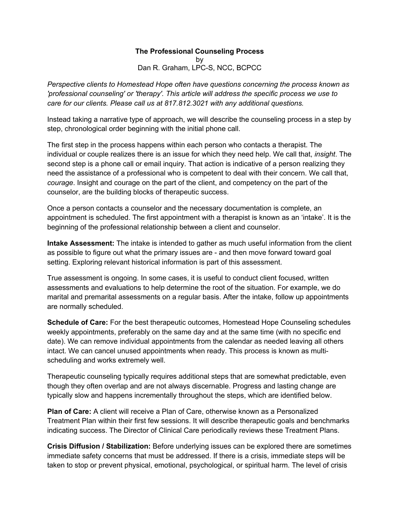## **The Professional Counseling Process**

by Dan R. Graham, LPC-S, NCC, BCPCC

*Perspective clients to Homestead Hope often have questions concerning the process known as 'professional counseling' or 'therapy'. This article will address the specific process we use to care for our clients. Please call us at 817.812.3021 with any additional questions.* 

Instead taking a narrative type of approach, we will describe the counseling process in a step by step, chronological order beginning with the initial phone call.

The first step in the process happens within each person who contacts a therapist. The individual or couple realizes there is an issue for which they need help. We call that, *insight*. The second step is a phone call or email inquiry. That action is indicative of a person realizing they need the assistance of a professional who is competent to deal with their concern. We call that, *courage*. Insight and courage on the part of the client, and competency on the part of the counselor, are the building blocks of therapeutic success.

Once a person contacts a counselor and the necessary documentation is complete, an appointment is scheduled. The first appointment with a therapist is known as an 'intake'. It is the beginning of the professional relationship between a client and counselor.

**Intake Assessment:** The intake is intended to gather as much useful information from the client as possible to figure out what the primary issues are - and then move forward toward goal setting. Exploring relevant historical information is part of this assessment.

True assessment is ongoing. In some cases, it is useful to conduct client focused, written assessments and evaluations to help determine the root of the situation. For example, we do marital and premarital assessments on a regular basis. After the intake, follow up appointments are normally scheduled.

**Schedule of Care:** For the best therapeutic outcomes, Homestead Hope Counseling schedules weekly appointments, preferably on the same day and at the same time (with no specific end date). We can remove individual appointments from the calendar as needed leaving all others intact. We can cancel unused appointments when ready. This process is known as multischeduling and works extremely well.

Therapeutic counseling typically requires additional steps that are somewhat predictable, even though they often overlap and are not always discernable. Progress and lasting change are typically slow and happens incrementally throughout the steps, which are identified below.

**Plan of Care:** A client will receive a Plan of Care, otherwise known as a Personalized Treatment Plan within their first few sessions. It will describe therapeutic goals and benchmarks indicating success. The Director of Clinical Care periodically reviews these Treatment Plans.

**Crisis Diffusion / Stabilization:** Before underlying issues can be explored there are sometimes immediate safety concerns that must be addressed. If there is a crisis, immediate steps will be taken to stop or prevent physical, emotional, psychological, or spiritual harm. The level of crisis